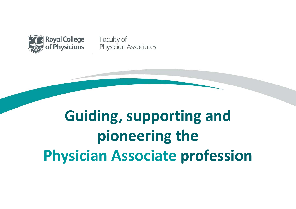

Faculty of Physician Associates

# **Guiding, supporting and pioneering the Physician Associate profession**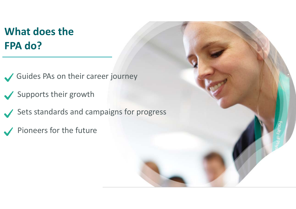# **What does the FPA do?**

Guides PAs on their career journey

Supports their growth

Sets standards and campaigns for progress

Pioneers for the future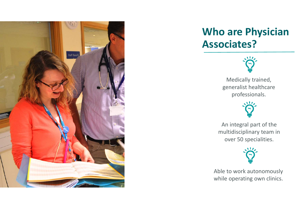

## **Who are Physician Associates?**



Medically trained, generalist healthcare professionals.



An integral part of the multidisciplinary team in over 50 specialities.



Able to work autonomously while operating own clinics.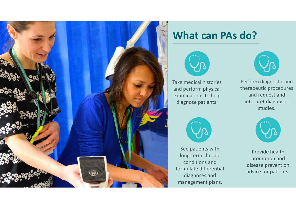

#### **What can PAs do?**



Take medical histories and perform physical examinations to help diagnose patients.



See patients with long‐term chronic conditions and formulate differential diagnoses and management plans.



Perform diagnostic and therapeutic procedures and request and interpret diagnostic studies.



Provide health promotion and disease prevention advice for patients.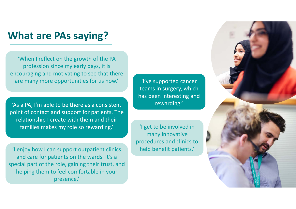#### **What are PAs saying?**

'When I reflect on the growth of the PA profession since my early days, it is encouraging and motivating to see that there are many more opportunities for us now.'

'As a PA, I'm able to be there as a consistent point of contact and support for patients. The relationship I create with them and their families makes my role so rewarding.'

'I enjoy how I can support outpatient clinics and care for patients on the wards. It's a special part of the role, gaining their trust, and helping them to feel comfortable in your presence.'

'I've supported cancer teams in surgery, which has been interesting and rewarding.'

'I get to be involved in many innovative procedures and clinics to help benefit patients.'

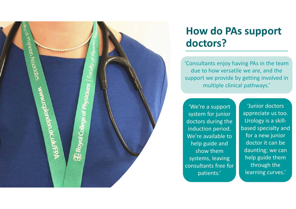

### **How do PAs support doctors?**

'Consultants enjoy having PAs in the team due to how versatile we are, and the support we provide by getting involved in multiple clinical pathways.'

'We're a support system for junior doctors during the induction period. We're available to help guide and show them systems, leaving consultants free for patients.'

'Junior doctors appreciate us too. Urology is a skill‐ based specialty and for a new junior doctor it can be daunting; we can help guide them through the learning curves.'